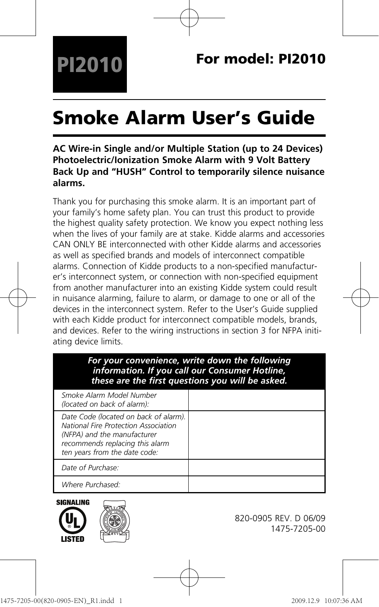# **Smoke Alarm User's Guide**

## **AC Wire-in Single and/or Multiple Station (up to 24 Devices) Photoelectric/Ionization Smoke Alarm with 9 Volt Battery Back Up and "HUSH" Control to temporarily silence nuisance alarms.**

Thank you for purchasing this smoke alarm. It is an important part of your family's home safety plan. You can trust this product to provide the highest quality safety protection. We know you expect nothing less when the lives of your family are at stake. Kidde alarms and accessories CAN ONLY BE interconnected with other Kidde alarms and accessories as well as specified brands and models of interconnect compatible alarms. Connection of Kidde products to a non-specified manufacturer's interconnect system, or connection with non-specified equipment from another manufacturer into an existing Kidde system could result in nuisance alarming, failure to alarm, or damage to one or all of the devices in the interconnect system. Refer to the User's Guide supplied with each Kidde product for interconnect compatible models, brands, and devices. Refer to the wiring instructions in section 3 for NFPA initiating device limits.

#### *For your convenience, write down the following information. If you call our Consumer Hotline, these are the first questions you will be asked.*

| Smoke Alarm Model Number<br>(located on back of alarm):                                                                                                                          |  |
|----------------------------------------------------------------------------------------------------------------------------------------------------------------------------------|--|
| Date Code (located on back of alarm).<br>National Fire Protection Association<br>(NFPA) and the manufacturer<br>recommends replacing this alarm<br>ten years from the date code: |  |
| Date of Purchase:                                                                                                                                                                |  |
| Where Purchased:                                                                                                                                                                 |  |





820-0905 REV. D 06/09 1475-7205-00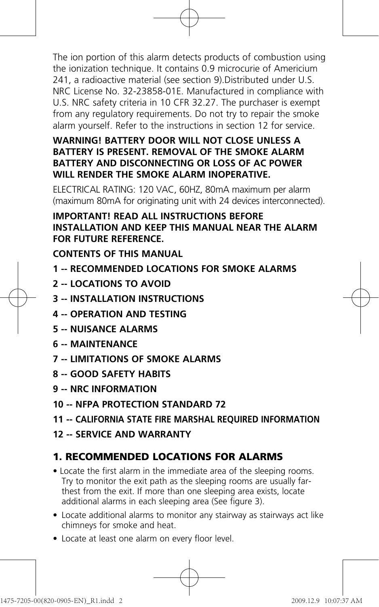The ion portion of this alarm detects products of combustion using the ionization technique. It contains 0.9 microcurie of Americium 241, a radioactive material (see section 9).Distributed under U.S. NRC License No. 32-23858-01E. Manufactured in compliance with U.S. NRC safety criteria in 10 CFR 32.27. The purchaser is exempt from any regulatory requirements. Do not try to repair the smoke alarm yourself. Refer to the instructions in section 12 for service.

## **WARNING! BATTERY DOOR WILL NOT CLOSE UNLESS A BATTERY IS PRESENT. REMOVAL OF THE SMOKE ALARM BATTERY AND DISCONNECTING OR LOSS OF AC POWER WILL RENDER THE SMOKE ALARM INOPERATIVE.**

ELECTRICAL RATING: 120 VAC, 60HZ, 80mA maximum per alarm (maximum 80mA for originating unit with 24 devices interconnected).

#### **IMPORTANT! READ ALL INSTRUCTIONS BEFORE INSTALLATION AND KEEP THIS MANUAL NEAR THE ALARM FOR FUTURE REFERENCE.**

**CONTENTS OF THIS MANUAL** 

- **1 -- RECOMMENDED LOCATIONS FOR SMOKE ALARMS**
- **2 -- LOCATIONS TO AVOID**
- **3 -- INSTALLATION INSTRUCTIONS**
	- **4 -- OPERATION AND TESTING**
	- **5 -- NUISANCE ALARMS**
	- **6 -- MAINTENANCE**
	- **7 -- LIMITATIONS OF SMOKE ALARMS**
	- **8 -- GOOD SAFETY HABITS**
	- **9 -- NRC INFORMATION**
	- **10 -- NFPA PROTECTION STANDARD 72**
	- **11 -- CALIFORNIA STATE FIRE MARSHAL REQUIRED INFORMATION**
	- **12 -- SERVICE AND WARRANTY**

# **1. RECOMMENDED LOCATIONS FOR ALARMS**

- Locate the first alarm in the immediate area of the sleeping rooms. Try to monitor the exit path as the sleeping rooms are usually farthest from the exit. If more than one sleeping area exists, locate additional alarms in each sleeping area (See figure 3).
- Locate additional alarms to monitor any stairway as stairways act like chimneys for smoke and heat.
- Locate at least one alarm on every floor level.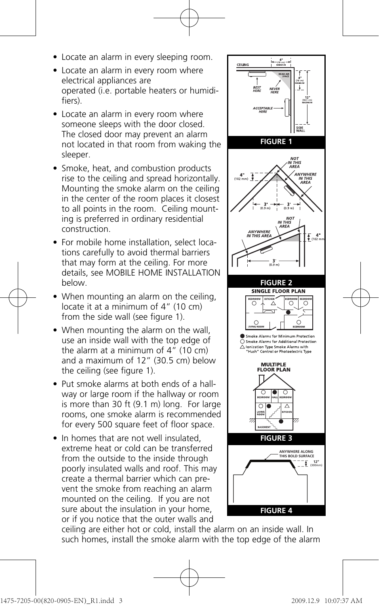- Locate an alarm in every sleeping room.
- Locate an alarm in every room where electrical appliances are operated (i.e. portable heaters or humidifiers).
- Locate an alarm in every room where someone sleeps with the door closed. The closed door may prevent an alarm not located in that room from waking the sleeper.
- Smoke, heat, and combustion products rise to the ceiling and spread horizontally. Mounting the smoke alarm on the ceiling in the center of the room places it closest to all points in the room. Ceiling mounting is preferred in ordinary residential construction.
- For mobile home installation, select locations carefully to avoid thermal barriers that may form at the ceiling. For more details, see MOBILE HOME INSTALLATION below.
- When mounting an alarm on the ceiling, locate it at a minimum of 4" (10 cm) from the side wall (see figure 1).
	- When mounting the alarm on the wall, use an inside wall with the top edge of the alarm at a minimum of  $4''$  (10 cm) and a maximum of 12" (30.5 cm) below the ceiling (see figure 1).
	- Put smoke alarms at both ends of a hallway or large room if the hallway or room is more than 30 ft (9.1 m) long. For large rooms, one smoke alarm is recommended for every 500 square feet of floor space.
	- In homes that are not well insulated extreme heat or cold can be transferred from the outside to the inside through poorly insulated walls and roof. This may create a thermal barrier which can prevent the smoke from reaching an alarm mounted on the ceiling. If you are not sure about the insulation in your home, or if you notice that the outer walls and



ceiling are either hot or cold, install the alarm on an inside wall. In such homes, install the smoke alarm with the top edge of the alarm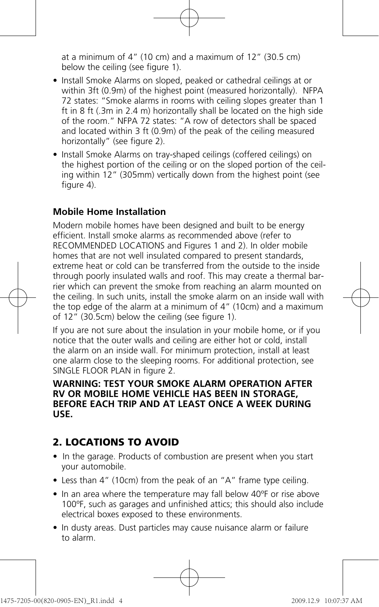at a minimum of 4" (10 cm) and a maximum of 12" (30.5 cm) below the ceiling (see figure 1).

- Install Smoke Alarms on sloped, peaked or cathedral ceilings at or within 3ft (0.9m) of the highest point (measured horizontally). NFPA 72 states: "Smoke alarms in rooms with ceiling slopes greater than 1 ft in 8 ft (.3m in 2.4 m) horizontally shall be located on the high side of the room." NFPA 72 states: "A row of detectors shall be spaced and located within 3 ft (0.9m) of the peak of the ceiling measured horizontally" (see figure 2).
- Install Smoke Alarms on tray-shaped ceilings (coffered ceilings) on the highest portion of the ceiling or on the sloped portion of the ceiling within 12" (305mm) vertically down from the highest point (see  $f_{\text{full}}$  (4)

#### **Mobile Home Installation**

Modern mobile homes have been designed and built to be energy efficient. Install smoke alarms as recommended above (refer to RECOMMENDED LOCATIONS and Figures 1 and 2). In older mobile homes that are not well insulated compared to present standards, extreme heat or cold can be transferred from the outside to the inside through poorly insulated walls and roof. This may create a thermal barrier which can prevent the smoke from reaching an alarm mounted on the ceiling. In such units, install the smoke alarm on an inside wall with the top edge of the alarm at a minimum of 4" (10cm) and a maximum of 12" (30.5cm) below the ceiling (see figure 1).

If you are not sure about the insulation in your mobile home, or if you notice that the outer walls and ceiling are either hot or cold, install the alarm on an inside wall. For minimum protection, install at least one alarm close to the sleeping rooms. For additional protection, see SINGLE FLOOR PLAN in figure 2.

#### **WARNING: TEST YOUR SMOKE ALARM OPERATION AFTER RV OR MOBILE HOME VEHICLE HAS BEEN IN STORAGE BEFORE EACH TRIP AND AT LEAST ONCE A WEEK DURING USE.**

## **2. LOCATIONS TO AVOID**

- In the garage. Products of combustion are present when you start your automobile.
- Less than 4" (10cm) from the peak of an "A" frame type ceiling.
- In an area where the temperature may fall below 40ºF or rise above 100ºF, such as garages and unfinished attics; this should also include electrical boxes exposed to these environments.
- In dusty areas. Dust particles may cause nuisance alarm or failure to alarm.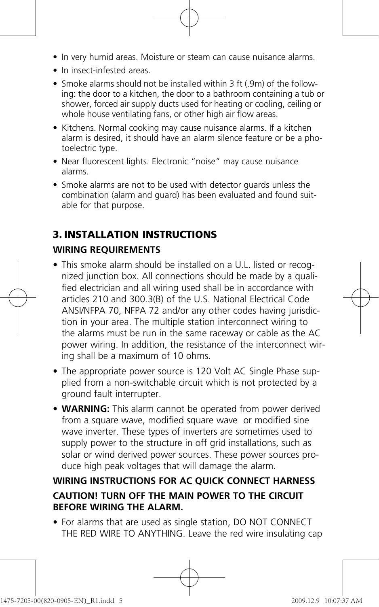- In very humid areas. Moisture or steam can cause nuisance alarms.
- In insect-infested areas.
- Smoke alarms should not be installed within 3 ft (.9m) of the following: the door to a kitchen, the door to a bathroom containing a tub or shower, forced air supply ducts used for heating or cooling, ceiling or whole house ventilating fans, or other high air flow areas.
- Kitchens. Normal cooking may cause nuisance alarms. If a kitchen alarm is desired, it should have an alarm silence feature or be a photoelectric type.
- Near fluorescent lights. Electronic "noise" may cause nuisance alarms.
- Smoke alarms are not to be used with detector guards unless the combination (alarm and guard) has been evaluated and found suitable for that purpose.

# **3. INSTALLATION INSTRUCTIONS**

# **WIRING REQUIREMENTS**

- This smoke alarm should be installed on a U.L. listed or recognized junction box. All connections should be made by a qualified electrician and all wiring used shall be in accordance with articles 210 and 300.3(B) of the U.S. National Electrical Code ANSI/NFPA 70, NFPA 72 and/or any other codes having jurisdiction in your area. The multiple station interconnect wiring to the alarms must be run in the same raceway or cable as the AC power wiring. In addition, the resistance of the interconnect wiring shall be a maximum of 10 ohms.
- The appropriate power source is 120 Volt AC Single Phase supplied from a non-switchable circuit which is not protected by a ground fault interrupter.
- **WARNING:** This alarm cannot be operated from power derived from a square wave, modified square wave or modified sine wave inverter. These types of inverters are sometimes used to supply power to the structure in off grid installations, such as solar or wind derived power sources. These power sources produce high peak voltages that will damage the alarm.

# **WIRING INSTRUCTIONS FOR AC QUICK CONNECT HARNESS CAUTION! TURN OFF THE MAIN POWER TO THE CIRCUIT BEFORE WIRING THE ALARM.**

• For alarms that are used as single station, DO NOT CONNECT THE RED WIRE TO ANYTHING. Leave the red wire insulating cap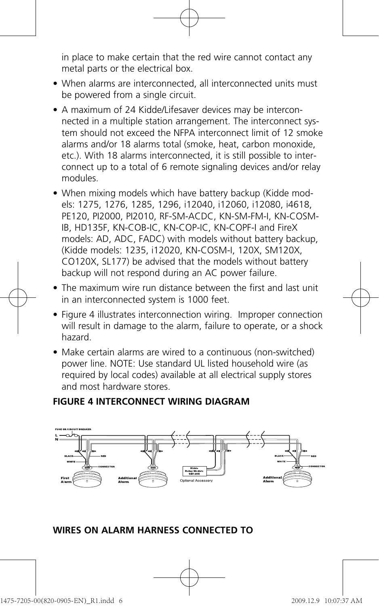in place to make certain that the red wire cannot contact any metal parts or the electrical box.

- When alarms are interconnected, all interconnected units must be powered from a single circuit.
- A maximum of 24 Kidde/Lifesaver devices may be interconnected in a multiple station arrangement. The interconnect system should not exceed the NFPA interconnect limit of 12 smoke alarms and/or 18 alarms total (smoke, heat, carbon monoxide, etc.). With 18 alarms interconnected, it is still possible to interconnect up to a total of 6 remote signaling devices and/or relay modules.
- When mixing models which have battery backup (Kidde models: 1275, 1276, 1285, 1296, i12040, i12060, i12080, i4618, PE120, PI2000, PI2010, RF-SM-ACDC, KN-SM-FM-I, KN-COSM-IB, HD135F, KN-COB-IC, KN-COP-IC, KN-COPF-I and FireX models: AD, ADC, FADC) with models without battery backup (Kidde models: 1235, i12020, KN-COSM-I, 120X, SM120X, CO120X, SL177) be advised that the models without battery backup will not respond during an AC power failure.
- The maximum wire run distance between the first and last unit in an interconnected system is 1000 feet.
- Figure 4 illustrates interconnection wiring. Improper connection will result in damage to the alarm, failure to operate, or a shock hazard.
- Make certain alarms are wired to a continuous (non-switched) power line. NOTE: Use standard UL listed household wire (as required by local codes) available at all electrical supply stores and most hardware stores.

#### **FIGURE 4 INTERCONNECT WIRING DIAGRAM**



#### **WIRES ON ALARM HARNESS CONNECTED TO**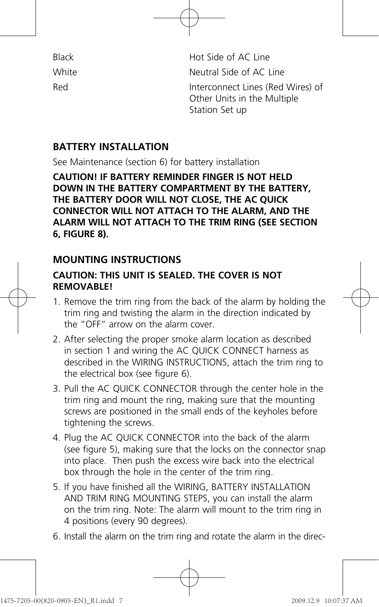| Black |
|-------|
| White |
| Red   |

Black Hot Side of AC Line Neutral Side of AC Line Interconnect Lines (Red Wires) of Other Units in the Multiple Station Set up

## **BATTERY INSTALLATION**

See Maintenance (section 6) for battery installation

**CAUTION! IF BATTERY REMINDER FINGER IS NOT HELD DOWN IN THE BATTERY COMPARTMENT BY THE BATTERY, THE BATTERY DOOR WILL NOT CLOSE, THE AC QUICK CONNECTOR WILL NOT ATTACH TO THE ALARM, AND THE ALARM WILL NOT ATTACH TO THE TRIM RING (SEE SECTION 6, FIGURE 8).**

# **MOUNTING INSTRUCTIONS**

## **CAUTION: THIS UNIT IS SEALED. THE COVER IS NOT REMOVABLE!**

- 1. Remove the trim ring from the back of the alarm by holding the trim ring and twisting the alarm in the direction indicated by the "OFF" arrow on the alarm cover.
- 2. After selecting the proper smoke alarm location as described in section 1 and wiring the AC QUICK CONNECT harness as described in the WIRING INSTRUCTIONS, attach the trim ring to the electrical box (see figure 6).
- 3. Pull the AC QUICK CONNECTOR through the center hole in the trim ring and mount the ring, making sure that the mounting screws are positioned in the small ends of the keyholes before tightening the screws.
- 4. Plug the AC QUICK CONNECTOR into the back of the alarm (see figure 5), making sure that the locks on the connector snap into place. Then push the excess wire back into the electrical box through the hole in the center of the trim ring.
- 5. If you have finished all the WIRING, BATTERY INSTALLATION AND TRIM RING MOUNTING STEPS, you can install the alarm on the trim ring. Note: The alarm will mount to the trim ring in 4 positions (every 90 degrees).
- 6. Install the alarm on the trim ring and rotate the alarm in the direc-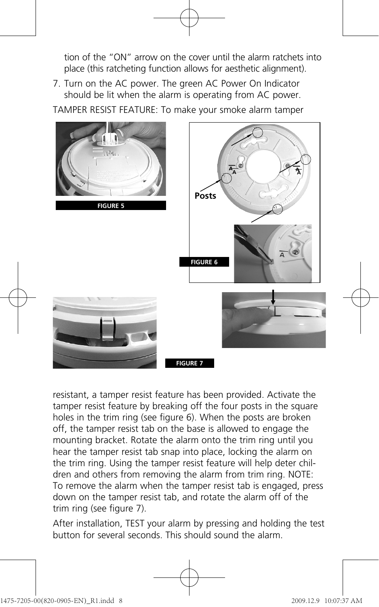tion of the "ON" arrow on the cover until the alarm ratchets into place (this ratcheting function allows for aesthetic alignment).

7. Turn on the AC power. The green AC Power On Indicator should be lit when the alarm is operating from AC power.

TAMPER RESIST FEATURE: To make your smoke alarm tamper



resistant, a tamper resist feature has been provided. Activate the tamper resist feature by breaking off the four posts in the square holes in the trim ring (see figure 6). When the posts are broken off, the tamper resist tab on the base is allowed to engage the mounting bracket. Rotate the alarm onto the trim ring until you hear the tamper resist tab snap into place, locking the alarm on the trim ring. Using the tamper resist feature will help deter children and others from removing the alarm from trim ring. NOTE: To remove the alarm when the tamper resist tab is engaged, press down on the tamper resist tab, and rotate the alarm off of the trim ring (see figure 7).

After installation, TEST your alarm by pressing and holding the test button for several seconds. This should sound the alarm.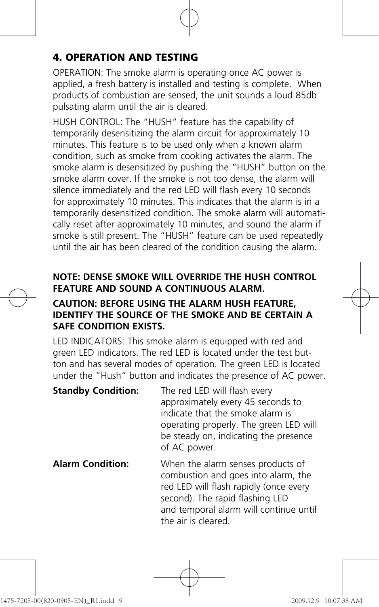# **4. OPERATION AND TESTING**

OPERATION: The smoke alarm is operating once AC power is applied, a fresh battery is installed and testing is complete. When products of combustion are sensed, the unit sounds a loud 85db pulsating alarm until the air is cleared.

HUSH CONTROL: The "HUSH" feature has the capability of temporarily desensitizing the alarm circuit for approximately 10 minutes. This feature is to be used only when a known alarm condition, such as smoke from cooking activates the alarm. The smoke alarm is desensitized by pushing the "HUSH" button on the smoke alarm cover. If the smoke is not too dense, the alarm will silence immediately and the red LED will flash every 10 seconds for approximately 10 minutes. This indicates that the alarm is in a temporarily desensitized condition. The smoke alarm will automatically reset after approximately 10 minutes, and sound the alarm if smoke is still present. The "HUSH" feature can be used repeatedly until the air has been cleared of the condition causing the alarm.

## **NOTE: DENSE SMOKE WILL OVERRIDE THE HUSH CONTROL FEATURE AND SOUND A CONTINUOUS ALARM.**

## **CAUTION: BEFORE USING THE ALARM HUSH FEATURE, IDENTIFY THE SOURCE OF THE SMOKE AND BE CERTAIN A SAFE CONDITION EXISTS.**

LED INDICATORS: This smoke alarm is equipped with red and green LED indicators. The red LED is located under the test button and has several modes of operation. The green LED is located under the "Hush" button and indicates the presence of AC power.

**Standby Condition:** The red LED will flash every approximately every 45 seconds to indicate that the smoke alarm is operating properly. The green LED will be steady on, indicating the presence of AC power.

**Alarm Condition:** When the alarm senses products of combustion and goes into alarm, the red LED will flash rapidly (once every second). The rapid flashing LED and temporal alarm will continue until the air is cleared.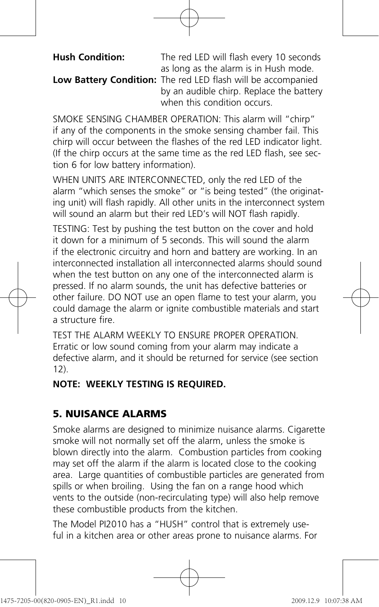**Hush Condition:** The red LED will flash every 10 seconds as long as the alarm is in Hush mode.

**Low Battery Condition:** The red LED flash will be accompanied by an audible chirp. Replace the battery when this condition occurs.

SMOKE SENSING CHAMBER OPERATION: This alarm will "chirp" if any of the components in the smoke sensing chamber fail. This chirp will occur between the flashes of the red LED indicator light. (If the chirp occurs at the same time as the red LED flash, see section 6 for low battery information).

WHEN UNITS ARE INTERCONNECTED, only the red LED of the alarm "which senses the smoke" or "is being tested" (the originating unit) will flash rapidly. All other units in the interconnect system will sound an alarm but their red LED's will NOT flash rapidly.

TESTING: Test by pushing the test button on the cover and hold it down for a minimum of 5 seconds. This will sound the alarm if the electronic circuitry and horn and battery are working. In an interconnected installation all interconnected alarms should sound when the test button on any one of the interconnected alarm is pressed. If no alarm sounds, the unit has defective batteries or other failure. DO NOT use an open flame to test your alarm, you could damage the alarm or ignite combustible materials and start a structure fire.

TEST THE ALARM WEEKLY TO ENSURE PROPER OPERATION. Erratic or low sound coming from your alarm may indicate a defective alarm, and it should be returned for service (see section 12).

## **NOTE: WEEKLY TESTING IS REQUIRED.**

# **5. NUISANCE ALARMS**

Smoke alarms are designed to minimize nuisance alarms. Cigarette smoke will not normally set off the alarm, unless the smoke is blown directly into the alarm. Combustion particles from cooking may set off the alarm if the alarm is located close to the cooking area. Large quantities of combustible particles are generated from spills or when broiling. Using the fan on a range hood which vents to the outside (non-recirculating type) will also help remove these combustible products from the kitchen.

The Model PI2010 has a "HUSH" control that is extremely useful in a kitchen area or other areas prone to nuisance alarms. For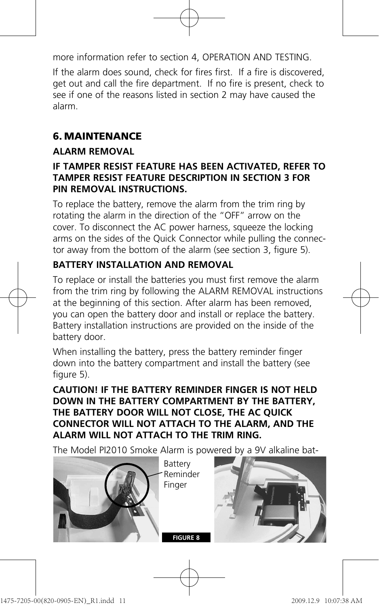more information refer to section 4, OPERATION AND TESTING.

If the alarm does sound, check for fires first. If a fire is discovered, get out and call the fire department. If no fire is present, check to see if one of the reasons listed in section 2 may have caused the alarm.

# **6. MAINTENANCE**

## **ALARM REMOVAL**

## **IF TAMPER RESIST FEATURE HAS BEEN ACTIVATED, REFER TO TAMPER RESIST FEATURE DESCRIPTION IN SECTION 3 FOR PIN REMOVAL INSTRUCTIONS.**

To replace the battery, remove the alarm from the trim ring by rotating the alarm in the direction of the "OFF" arrow on the cover. To disconnect the AC power harness, squeeze the locking arms on the sides of the Quick Connector while pulling the connector away from the bottom of the alarm (see section 3, figure 5).

# **BATTERY INSTALLATION AND REMOVAL**

To replace or install the batteries you must first remove the alarm from the trim ring by following the ALARM REMOVAL instructions at the beginning of this section. After alarm has been removed, you can open the battery door and install or replace the battery. Battery installation instructions are provided on the inside of the battery door.

When installing the battery, press the battery reminder finger down into the battery compartment and install the battery (see figure 5).

**CAUTION! IF THE BATTERY REMINDER FINGER IS NOT HELD DOWN IN THE BATTERY COMPARTMENT BY THE BATTERY, THE BATTERY DOOR WILL NOT CLOSE, THE AC QUICK CONNECTOR WILL NOT ATTACH TO THE ALARM, AND THE ALARM WILL NOT ATTACH TO THE TRIM RING.**

The Model PI2010 Smoke Alarm is powered by a 9V alkaline bat-

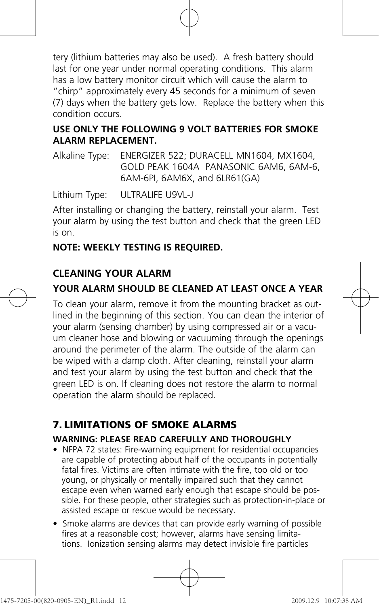tery (lithium batteries may also be used). A fresh battery should last for one year under normal operating conditions. This alarm has a low battery monitor circuit which will cause the alarm to "chirp" approximately every 45 seconds for a minimum of seven (7) days when the battery gets low. Replace the battery when this condition occurs.

## **USE ONLY THE FOLLOWING 9 VOLT BATTERIES FOR SMOKE ALARM REPLACEMENT.**

Alkaline Type: ENERGIZER 522; DURACELL MN1604, MX1604, GOLD PEAK 1604A PANASONIC 6AM6, 6AM-6, 6AM-6PI, 6AM6X, and 6LR61(GA)

Lithium Type: ULTRALIFE U9VL-J

After installing or changing the battery, reinstall your alarm. Test your alarm by using the test button and check that the green LED is on.

## **NOTE: WEEKLY TESTING IS REQUIRED.**

# **CLEANING YOUR ALARM**

# **YOUR ALARM SHOULD BE CLEANED AT LEAST ONCE A YEAR**

To clean your alarm, remove it from the mounting bracket as outlined in the beginning of this section. You can clean the interior of your alarm (sensing chamber) by using compressed air or a vacuum cleaner hose and blowing or vacuuming through the openings around the perimeter of the alarm. The outside of the alarm can be wiped with a damp cloth. After cleaning, reinstall your alarm and test your alarm by using the test button and check that the green LED is on. If cleaning does not restore the alarm to normal operation the alarm should be replaced.

# **7. LIMITATIONS OF SMOKE ALARMS**

## **WARNING: PLEASE READ CAREFULLY AND THOROUGHLY**

- NFPA 72 states: Fire-warning equipment for residential occupancies are capable of protecting about half of the occupants in potentially fatal fires. Victims are often intimate with the fire, too old or too young, or physically or mentally impaired such that they cannot escape even when warned early enough that escape should be possible. For these people, other strategies such as protection-in-place or assisted escape or rescue would be necessary.
- Smoke alarms are devices that can provide early warning of possible fires at a reasonable cost; however, alarms have sensing limitations. Ionization sensing alarms may detect invisible fire particles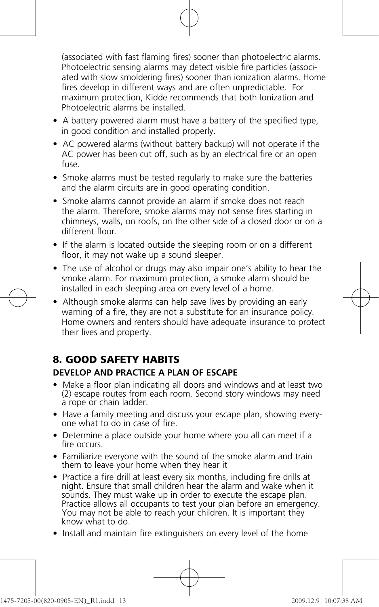(associated with fast flaming fires) sooner than photoelectric alarms. Photoelectric sensing alarms may detect visible fire particles (associated with slow smoldering fires) sooner than ionization alarms. Home fires develop in different ways and are often unpredictable. For maximum protection, Kidde recommends that both Ionization and Photoelectric alarms be installed.

- A battery powered alarm must have a battery of the specified type, in good condition and installed properly.
- AC powered alarms (without battery backup) will not operate if the AC power has been cut off, such as by an electrical fire or an open fuse.
- Smoke alarms must be tested regularly to make sure the batteries and the alarm circuits are in good operating condition.
- Smoke alarms cannot provide an alarm if smoke does not reach the alarm. Therefore, smoke alarms may not sense fires starting in chimneys, walls, on roofs, on the other side of a closed door or on a different floor.
- If the alarm is located outside the sleeping room or on a different floor, it may not wake up a sound sleeper.
- The use of alcohol or drugs may also impair one's ability to hear the smoke alarm. For maximum protection, a smoke alarm should be installed in each sleeping area on every level of a home.
- Although smoke alarms can help save lives by providing an early warning of a fire, they are not a substitute for an insurance policy. Home owners and renters should have adequate insurance to protect their lives and property.

# **8. GOOD SAFETY HABITS**

#### **DEVELOP AND PRACTICE A PLAN OF ESCAPE**

- Make a floor plan indicating all doors and windows and at least two (2) escape routes from each room. Second story windows may need a rope or chain ladder.
- Have a family meeting and discuss your escape plan, showing everyone what to do in case of fire.
- Determine a place outside your home where you all can meet if a fire occurs.
- Familiarize everyone with the sound of the smoke alarm and train them to leave your home when they hear it
- Practice a fire drill at least every six months, including fire drills at night. Ensure that small children hear the alarm and wake when it sounds. They must wake up in order to execute the escape plan. Practice allows all occupants to test your plan before an emergency. You may not be able to reach your children. It is important they know what to do.
- Install and maintain fire extinguishers on every level of the home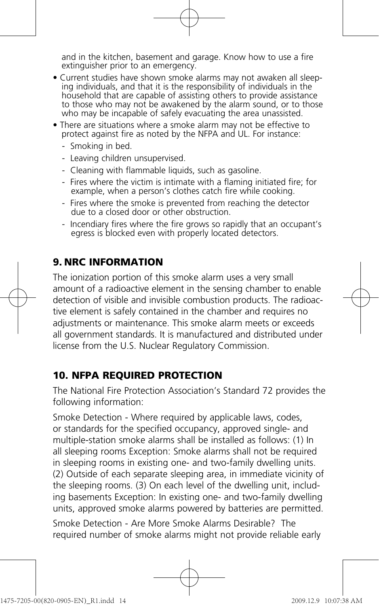and in the kitchen, basement and garage. Know how to use a fire extinguisher prior to an emergency.

- Current studies have shown smoke alarms may not awaken all sleeping individuals, and that it is the responsibility of individuals in the household that are capable of assisting others to provide assistance to those who may not be awakened by the alarm sound, or to those who may be incapable of safely evacuating the area unassisted.
- There are situations where a smoke alarm may not be effective to protect against fire as noted by the NFPA and UL. For instance:
	- Smoking in bed.
	- Leaving children unsupervised.
	- Cleaning with flammable liquids, such as gasoline.
	- Fires where the victim is intimate with a flaming initiated fire; for example, when a person's clothes catch fire while cooking.
	- Fires where the smoke is prevented from reaching the detector due to a closed door or other obstruction.
	- Incendiary fires where the fire grows so rapidly that an occupant's egress is blocked even with properly located detectors.

# **9. NRC INFORMATION**

The ionization portion of this smoke alarm uses a very small amount of a radioactive element in the sensing chamber to enable detection of visible and invisible combustion products. The radioactive element is safely contained in the chamber and requires no adjustments or maintenance. This smoke alarm meets or exceeds all government standards. It is manufactured and distributed under license from the U.S. Nuclear Regulatory Commission.

## **10. NFPA REQUIRED PROTECTION**

The National Fire Protection Association's Standard 72 provides the following information:

Smoke Detection - Where required by applicable laws, codes, or standards for the specified occupancy, approved single- and multiple-station smoke alarms shall be installed as follows: (1) In all sleeping rooms Exception: Smoke alarms shall not be required in sleeping rooms in existing one- and two-family dwelling units. (2) Outside of each separate sleeping area, in immediate vicinity of the sleeping rooms. (3) On each level of the dwelling unit, including basements Exception: In existing one- and two-family dwelling units, approved smoke alarms powered by batteries are permitted. Smoke Detection - Are More Smoke Alarms Desirable? The required number of smoke alarms might not provide reliable early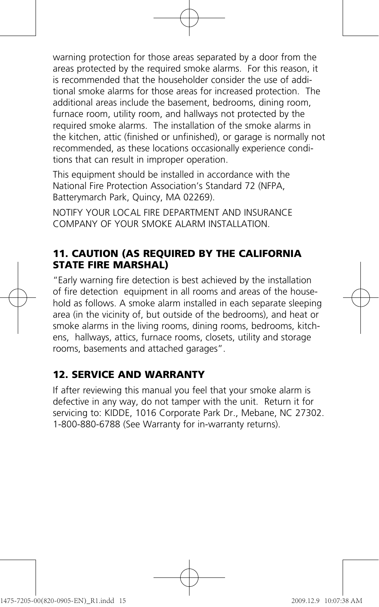warning protection for those areas separated by a door from the areas protected by the required smoke alarms. For this reason, it is recommended that the householder consider the use of additional smoke alarms for those areas for increased protection. The additional areas include the basement, bedrooms, dining room, furnace room, utility room, and hallways not protected by the required smoke alarms. The installation of the smoke alarms in the kitchen, attic (finished or unfinished), or garage is normally not recommended, as these locations occasionally experience conditions that can result in improper operation.

This equipment should be installed in accordance with the National Fire Protection Association's Standard 72 (NFPA, Batterymarch Park, Quincy, MA 02269).

NOTIFY YOUR LOCAL FIRE DEPARTMENT AND INSURANCE COMPANY OF YOUR SMOKE ALARM INSTALLATION.

# **11. CAUTION (AS REQUIRED BY THE CALIFORNIA STATE FIRE MARSHAL)**

"Early warning fire detection is best achieved by the installation of fire detection equipment in all rooms and areas of the household as follows. A smoke alarm installed in each separate sleeping area (in the vicinity of, but outside of the bedrooms), and heat or smoke alarms in the living rooms, dining rooms, bedrooms, kitchens, hallways, attics, furnace rooms, closets, utility and storage rooms, basements and attached garages".

# **12. SERVICE AND WARRANTY**

If after reviewing this manual you feel that your smoke alarm is defective in any way, do not tamper with the unit. Return it for servicing to: KIDDE, 1016 Corporate Park Dr., Mebane, NC 27302. 1-800-880-6788 (See Warranty for in-warranty returns).